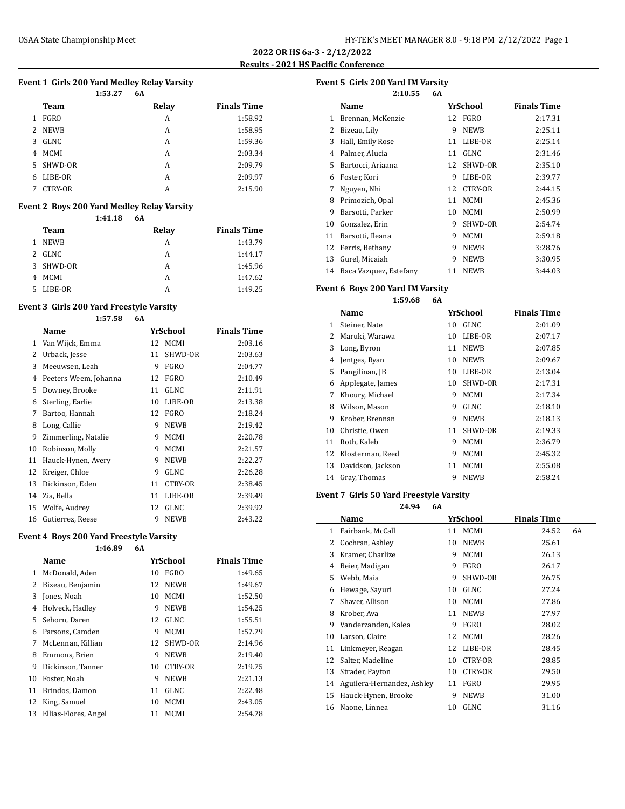# **2022 OR HS 6a-3 - 2/12/2022 Results - 2021 HS Pacific Conference**

# **Event 1 Girls 200 Yard Medley Relay Varsity**

|                               | 1:53.27 | 6A    |                    |
|-------------------------------|---------|-------|--------------------|
| Team                          |         | Relay | <b>Finals Time</b> |
| <b>FGRO</b><br>1              |         | A     | 1:58.92            |
| <b>NEWB</b><br>$\overline{2}$ |         | A     | 1:58.95            |
| GLNC<br>3                     |         | A     | 1:59.36            |
| <b>MCMI</b><br>4              |         | A     | 2:03.34            |
| 5 SHWD-OR                     |         | A     | 2:09.79            |
| LIBE-OR<br>6                  |         | A     | 2:09.97            |
| CTRY-OR<br>7                  |         | A     | 2:15.90            |

# **Event 2 Boys 200 Yard Medley Relay Varsity**

**1:41.18 6A**

|    | <b>Team</b> | Relay | <b>Finals Time</b> |
|----|-------------|-------|--------------------|
| 1. | <b>NEWB</b> | А     | 1:43.79            |
|    | 2 GLNC      | А     | 1:44.17            |
|    | 3 SHWD-OR   | А     | 1:45.96            |
| 4  | MCMI        | А     | 1:47.62            |
|    | LIBE-OR     |       | 1:49.25            |

**1:57.58 6A**

# **Event 3 Girls 200 Yard Freestyle Varsity**

|    | Name                  |    | YrSchool       | <b>Finals Time</b> |
|----|-----------------------|----|----------------|--------------------|
| 1  | Van Wijck, Emma       |    | 12 MCMI        | 2:03.16            |
| 2  | Urback, Jesse         | 11 | SHWD-OR        | 2:03.63            |
| 3  | Meeuwsen, Leah        | 9  | <b>FGRO</b>    | 2:04.77            |
| 4  | Peeters Weem, Johanna | 12 | FGRO           | 2:10.49            |
| 5  | Downey, Brooke        | 11 | GLNC           | 2:11.91            |
| 6  | Sterling, Earlie      | 10 | LIBE-OR        | 2:13.38            |
| 7  | Bartoo, Hannah        | 12 | FGRO           | 2:18.24            |
| 8  | Long, Callie          | 9  | <b>NEWB</b>    | 2:19.42            |
| 9  | Zimmerling, Natalie   | 9  | <b>MCMI</b>    | 2:20.78            |
| 10 | Robinson, Molly       | 9  | <b>MCMI</b>    | 2:21.57            |
| 11 | Hauck-Hynen, Avery    | 9  | <b>NEWB</b>    | 2:22.27            |
| 12 | Kreiger, Chloe        | 9  | GLNC           | 2:26.28            |
| 13 | Dickinson, Eden       | 11 | <b>CTRY-OR</b> | 2:38.45            |
| 14 | Zia, Bella            | 11 | LIBE-OR        | 2:39.49            |
| 15 | Wolfe, Audrey         | 12 | <b>GLNC</b>    | 2:39.92            |
| 16 | Gutierrez, Reese      | 9  | <b>NEWB</b>    | 2:43.22            |

# **Event 4 Boys 200 Yard Freestyle Varsity**

# **1:46.89 6A**

|    | Name                 |    | YrSchool       | <b>Finals Time</b> |
|----|----------------------|----|----------------|--------------------|
| 1  | McDonald, Aden       | 10 | FGRO           | 1:49.65            |
| 2  | Bizeau, Benjamin     | 12 | <b>NEWB</b>    | 1:49.67            |
| 3  | Jones, Noah          | 10 | <b>MCMI</b>    | 1:52.50            |
| 4  | Holveck, Hadley      | 9  | <b>NEWB</b>    | 1:54.25            |
| 5. | Sehorn, Daren        | 12 | GLNC           | 1:55.51            |
| 6  | Parsons, Camden      | 9  | <b>MCMI</b>    | 1:57.79            |
| 7  | McLennan, Killian    |    | 12 SHWD-OR     | 2:14.96            |
| 8  | Emmons, Brien        | 9  | <b>NEWB</b>    | 2:19.40            |
| 9  | Dickinson, Tanner    | 10 | <b>CTRY-OR</b> | 2:19.75            |
| 10 | Foster, Noah         | 9  | <b>NEWB</b>    | 2:21.13            |
| 11 | Brindos, Damon       | 11 | GLNC           | 2:22.48            |
| 12 | King, Samuel         | 10 | <b>MCMI</b>    | 2:43.05            |
| 13 | Ellias-Flores, Angel | 11 | MCMI           | 2:54.78            |
|    |                      |    |                |                    |

|    | Event 5 Girls 200 Yard IM Varsity |    |                |                    |  |  |
|----|-----------------------------------|----|----------------|--------------------|--|--|
|    | 2:10.55                           | 6A |                |                    |  |  |
|    | Name                              |    | YrSchool       | <b>Finals Time</b> |  |  |
| 1  | Brennan, McKenzie                 |    | 12 FGRO        | 2:17.31            |  |  |
| 2  | Bizeau, Lily                      | 9  | <b>NEWB</b>    | 2:25.11            |  |  |
| 3  | Hall, Emily Rose                  | 11 | LIBE-OR        | 2:25.14            |  |  |
| 4  | Palmer, Alucia                    | 11 | <b>GLNC</b>    | 2:31.46            |  |  |
| 5  | Bartocci, Ariaana                 | 12 | SHWD-OR        | 2:35.10            |  |  |
| 6  | Foster, Kori                      | 9  | LIBE-OR        | 2:39.77            |  |  |
| 7  | Nguyen, Nhi                       | 12 | <b>CTRY-OR</b> | 2:44.15            |  |  |
| 8  | Primozich, Opal                   | 11 | <b>MCMI</b>    | 2:45.36            |  |  |
| 9  | Barsotti, Parker                  | 10 | <b>MCMI</b>    | 2:50.99            |  |  |
| 10 | Gonzalez, Erin                    | 9  | SHWD-OR        | 2:54.74            |  |  |
| 11 | Barsotti, Ileana                  | 9  | <b>MCMI</b>    | 2:59.18            |  |  |
| 12 | Ferris, Bethany                   | 9  | <b>NEWB</b>    | 3:28.76            |  |  |
| 13 | Gurel, Micaiah                    | 9  | <b>NEWB</b>    | 3:30.95            |  |  |
| 14 | Baca Vazquez, Estefany            | 11 | <b>NEWB</b>    | 3:44.03            |  |  |

#### **Event 6 Boys 200 Yard IM Varsity 1:59.68 6A**

|    | Name              | YrSchool |             | <b>Finals Time</b> |
|----|-------------------|----------|-------------|--------------------|
| 1  | Steiner, Nate     | 10       | GLNC        | 2:01.09            |
| 2  | Maruki, Warawa    | 10       | LIBE-OR     | 2:07.17            |
| 3  | Long, Byron       | 11       | <b>NEWB</b> | 2:07.85            |
| 4  | Jentges, Ryan     | 10       | <b>NEWB</b> | 2:09.67            |
| 5  | Pangilinan, JB    | 10       | LIBE-OR     | 2:13.04            |
| 6  | Applegate, James  | 10       | SHWD-OR     | 2:17.31            |
| 7  | Khoury, Michael   | 9        | <b>MCMI</b> | 2:17.34            |
| 8  | Wilson, Mason     | 9        | GLNC        | 2:18.10            |
| 9  | Krober, Brennan   | 9        | <b>NEWB</b> | 2:18.13            |
| 10 | Christie, Owen    | 11       | SHWD-OR     | 2:19.33            |
| 11 | Roth, Kaleb       | 9        | MCMI        | 2:36.79            |
| 12 | Klosterman, Reed  | 9        | <b>MCMI</b> | 2:45.32            |
| 13 | Davidson, Jackson | 11       | MCMI        | 2:55.08            |
| 14 | Gray, Thomas      | 9        | <b>NEWB</b> | 2:58.24            |

# **Event 7 Girls 50 Yard Freestyle Varsity**

**24.94 6A**

|    | Name                       |    | YrSchool       | <b>Finals Time</b> |    |
|----|----------------------------|----|----------------|--------------------|----|
| 1  | Fairbank, McCall           | 11 | <b>MCMI</b>    | 24.52              | 6A |
| 2  | Cochran, Ashley            | 10 | <b>NEWB</b>    | 25.61              |    |
| 3  | Kramer, Charlize           | 9  | <b>MCMI</b>    | 26.13              |    |
| 4  | Beier, Madigan             | 9  | FGRO           | 26.17              |    |
| 5  | Webb, Maia                 | 9  | SHWD-OR        | 26.75              |    |
| 6  | Hewage, Sayuri             | 10 | <b>GLNC</b>    | 27.24              |    |
| 7  | Shaver, Allison            | 10 | <b>MCMI</b>    | 27.86              |    |
| 8  | Krober, Ava                | 11 | <b>NEWB</b>    | 27.97              |    |
| 9  | Vanderzanden, Kalea        | 9  | FGRO           | 28.02              |    |
| 10 | Larson, Claire             | 12 | MCMI           | 28.26              |    |
| 11 | Linkmeyer, Reagan          | 12 | LIBE-OR        | 28.45              |    |
| 12 | Salter, Madeline           | 10 | <b>CTRY-OR</b> | 28.85              |    |
| 13 | Strader, Payton            | 10 | <b>CTRY-OR</b> | 29.50              |    |
| 14 | Aguilera-Hernandez, Ashley | 11 | <b>FGRO</b>    | 29.95              |    |
| 15 | Hauck-Hynen, Brooke        | 9  | <b>NEWB</b>    | 31.00              |    |
| 16 | Naone, Linnea              | 10 | GLNC           | 31.16              |    |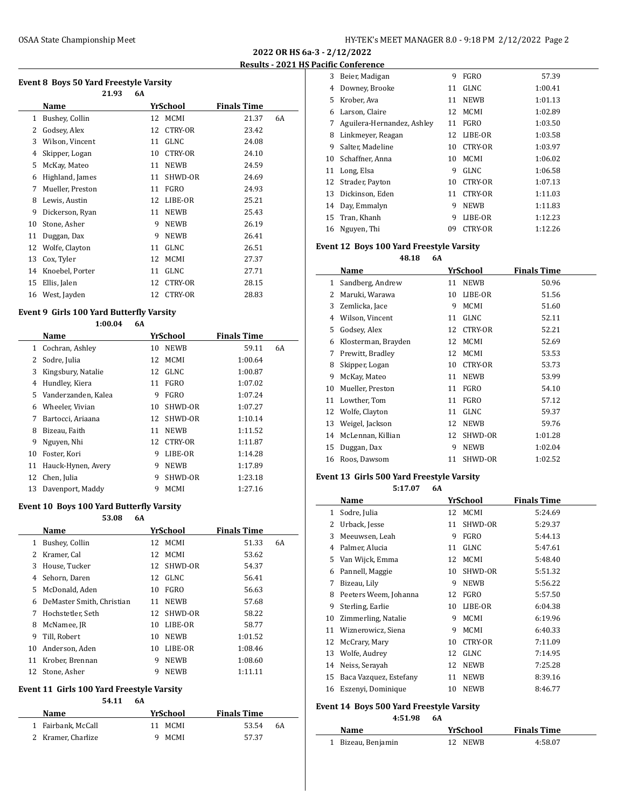**2022 OR HS 6a-3 - 2/12/2022 Results - 2021 HS Pacific Conference**

# **Event 8 Boys 50 Yard Freestyle Varsity**

|                  | 21.93 | 6A |    |             |                    |    |
|------------------|-------|----|----|-------------|--------------------|----|
| Name             |       |    |    |             | <b>Finals Time</b> |    |
| Bushey, Collin   |       |    | 12 | MCMI        | 21.37              | 6A |
| Godsey, Alex     |       |    | 12 | CTRY-OR     | 23.42              |    |
| Wilson, Vincent  |       |    | 11 | <b>GLNC</b> | 24.08              |    |
| Skipper, Logan   |       |    | 10 | CTRY-OR     | 24.10              |    |
| McKay, Mateo     |       |    | 11 | <b>NEWB</b> | 24.59              |    |
| Highland, James  |       |    | 11 | SHWD-OR     | 24.69              |    |
| Mueller, Preston |       |    | 11 | FGRO        | 24.93              |    |
| Lewis, Austin    |       |    | 12 | LIBE-OR     | 25.21              |    |
| Dickerson, Ryan  |       |    | 11 | <b>NEWB</b> | 25.43              |    |
| Stone, Asher     |       |    | 9  | <b>NEWB</b> | 26.19              |    |
| Duggan, Dax      |       |    | 9  | <b>NEWB</b> | 26.41              |    |
| Wolfe, Clayton   |       |    | 11 | GLNC        | 26.51              |    |
| Cox, Tyler       |       |    | 12 | MCMI        | 27.37              |    |
| Knoebel, Porter  |       |    | 11 | <b>GLNC</b> | 27.71              |    |
| Ellis, Jalen     |       |    | 12 | CTRY-OR     | 28.15              |    |
| West, Jayden     |       |    | 12 | CTRY-OR     | 28.83              |    |
|                  |       |    |    |             | YrSchool           |    |

#### **Event 9 Girls 100 Yard Butterfly Varsity**

|    | 1:00.04             | 6A |    |                |                    |    |
|----|---------------------|----|----|----------------|--------------------|----|
|    | Name                |    |    | YrSchool       | <b>Finals Time</b> |    |
| 1  | Cochran, Ashley     |    | 10 | <b>NEWB</b>    | 59.11              | 6A |
| 2  | Sodre, Julia        |    | 12 | <b>MCMI</b>    | 1:00.64            |    |
| 3  | Kingsbury, Natalie  |    | 12 | GLNC           | 1:00.87            |    |
| 4  | Hundley, Kiera      |    | 11 | <b>FGRO</b>    | 1:07.02            |    |
| 5  | Vanderzanden, Kalea |    | 9  | <b>FGRO</b>    | 1:07.24            |    |
| 6  | Wheeler, Vivian     |    | 10 | SHWD-OR        | 1:07.27            |    |
| 7  | Bartocci, Ariaana   |    | 12 | SHWD-OR        | 1:10.14            |    |
| 8  | Bizeau, Faith       |    | 11 | <b>NEWB</b>    | 1:11.52            |    |
| 9  | Nguyen, Nhi         |    | 12 | <b>CTRY-OR</b> | 1:11.87            |    |
| 10 | Foster, Kori        |    | 9  | LIBE-OR        | 1:14.28            |    |
| 11 | Hauck-Hynen, Avery  |    | 9  | <b>NEWB</b>    | 1:17.89            |    |
| 12 | Chen, Julia         |    | 9  | SHWD-OR        | 1:23.18            |    |
| 13 | Davenport, Maddy    |    | 9  | <b>MCMI</b>    | 1:27.16            |    |

#### **Event 10 Boys 100 Yard Butterfly Varsity**

|    | 53.08                     | 6A |    |             |                    |    |  |
|----|---------------------------|----|----|-------------|--------------------|----|--|
|    | Name                      |    |    | YrSchool    | <b>Finals Time</b> |    |  |
| 1  | Bushey, Collin            |    | 12 | MCMI        | 51.33              | 6A |  |
| 2  | Kramer, Cal               |    | 12 | MCMI        | 53.62              |    |  |
| 3  | House, Tucker             |    | 12 | SHWD-OR     | 54.37              |    |  |
| 4  | Sehorn, Daren             |    | 12 | <b>GLNC</b> | 56.41              |    |  |
| 5  | McDonald, Aden            |    | 10 | <b>FGRO</b> | 56.63              |    |  |
| 6  | DeMaster Smith, Christian |    | 11 | <b>NEWB</b> | 57.68              |    |  |
| 7  | Hochstetler, Seth         |    | 12 | SHWD-OR     | 58.22              |    |  |
| 8  | McNamee, JR               |    | 10 | LIBE-OR     | 58.77              |    |  |
| 9  | Till, Robert              |    | 10 | <b>NEWB</b> | 1:01.52            |    |  |
| 10 | Anderson, Aden            |    | 10 | LIBE-OR     | 1:08.46            |    |  |
| 11 | Krober, Brennan           |    | 9  | <b>NEWB</b> | 1:08.60            |    |  |
| 12 | Stone, Asher              |    | 9  | <b>NEWB</b> | 1:11.11            |    |  |

#### **Event 11 Girls 100 Yard Freestyle Varsity**

#### **54.11 6A**

| <b>Name</b>        | YrSchool    | <b>Finals Time</b> |
|--------------------|-------------|--------------------|
| 1 Fairbank, McCall | MCMI<br>11  | 53.54<br>6A        |
| 2 Kramer, Charlize | <b>MCMI</b> | 57.37              |

| 3  | Beier, Madigan             | 9  | FGRO           | 57.39   |
|----|----------------------------|----|----------------|---------|
| 4  | Downey, Brooke             | 11 | <b>GLNC</b>    | 1:00.41 |
| 5  | Krober, Ava                | 11 | <b>NEWB</b>    | 1:01.13 |
| 6  | Larson, Claire             | 12 | MCMI           | 1:02.89 |
| 7  | Aguilera-Hernandez, Ashley | 11 | FGRO           | 1:03.50 |
| 8  | Linkmeyer, Reagan          | 12 | LIBE-OR        | 1:03.58 |
| 9  | Salter, Madeline           | 10 | <b>CTRY-OR</b> | 1:03.97 |
| 10 | Schaffner, Anna            | 10 | <b>MCMI</b>    | 1:06.02 |
| 11 | Long, Elsa                 | 9  | <b>GLNC</b>    | 1:06.58 |
| 12 | Strader, Payton            | 10 | <b>CTRY-OR</b> | 1:07.13 |
| 13 | Dickinson, Eden            | 11 | CTRY-OR        | 1:11.03 |
| 14 | Day, Emmalyn               | 9  | <b>NEWB</b>    | 1:11.83 |
| 15 | Tran, Khanh                | 9  | LIBE-OR        | 1:12.23 |
| 16 | Nguyen, Thi                | 09 | CTRY-OR        | 1:12.26 |

# **Event 12 Boys 100 Yard Freestyle Varsity**

**48.18 6A**

|    | Name                |    | YrSchool       | <b>Finals Time</b> |
|----|---------------------|----|----------------|--------------------|
| 1  | Sandberg, Andrew    | 11 | <b>NEWB</b>    | 50.96              |
| 2  | Maruki, Warawa      | 10 | LIBE-OR        | 51.56              |
| 3  | Zemlicka, Jace      | 9  | <b>MCMI</b>    | 51.60              |
| 4  | Wilson, Vincent     | 11 | GLNC           | 52.11              |
| 5  | Godsey, Alex        | 12 | <b>CTRY-OR</b> | 52.21              |
| 6  | Klosterman, Brayden | 12 | <b>MCMI</b>    | 52.69              |
| 7  | Prewitt, Bradley    | 12 | <b>MCMI</b>    | 53.53              |
| 8  | Skipper, Logan      | 10 | <b>CTRY-OR</b> | 53.73              |
| 9  | McKay, Mateo        | 11 | <b>NEWB</b>    | 53.99              |
| 10 | Mueller, Preston    | 11 | <b>FGRO</b>    | 54.10              |
| 11 | Lowther, Tom        | 11 | <b>FGRO</b>    | 57.12              |
| 12 | Wolfe, Clayton      | 11 | <b>GLNC</b>    | 59.37              |
| 13 | Weigel, Jackson     | 12 | <b>NEWB</b>    | 59.76              |
| 14 | McLennan, Killian   | 12 | SHWD-OR        | 1:01.28            |
| 15 | Duggan, Dax         | 9  | <b>NEWB</b>    | 1:02.04            |
| 16 | Roos, Dawsom        | 11 | SHWD-OR        | 1:02.52            |

#### **Event 13 Girls 500 Yard Freestyle Varsity**

**5:17.07 6A**

|    | Name                   |    | YrSchool       | <b>Finals Time</b> |
|----|------------------------|----|----------------|--------------------|
| 1  | Sodre, Julia           | 12 | MCMI           | 5:24.69            |
| 2  | Urback, Jesse          | 11 | SHWD-OR        | 5:29.37            |
| 3  | Meeuwsen, Leah         | 9  | <b>FGRO</b>    | 5:44.13            |
| 4  | Palmer, Alucia         | 11 | <b>GLNC</b>    | 5:47.61            |
| 5  | Van Wijck, Emma        | 12 | MCMI           | 5:48.40            |
| 6  | Pannell, Maggie        | 10 | SHWD-OR        | 5:51.32            |
| 7  | Bizeau, Lily           | 9  | <b>NEWB</b>    | 5:56.22            |
| 8  | Peeters Weem, Johanna  | 12 | FGRO           | 5:57.50            |
| 9  | Sterling, Earlie       | 10 | LIBE-OR        | 6:04.38            |
| 10 | Zimmerling, Natalie    | 9  | <b>MCMI</b>    | 6:19.96            |
| 11 | Wiznerowicz, Siena     | 9  | <b>MCMI</b>    | 6:40.33            |
| 12 | McCrary, Mary          | 10 | <b>CTRY-OR</b> | 7:11.09            |
| 13 | Wolfe, Audrey          | 12 | <b>GLNC</b>    | 7:14.95            |
| 14 | Neiss, Serayah         | 12 | <b>NEWB</b>    | 7:25.28            |
| 15 | Baca Vazquez, Estefany | 11 | <b>NEWB</b>    | 8:39.16            |
| 16 | Eszenyi, Dominique     | 10 | <b>NEWB</b>    | 8:46.77            |
|    |                        |    |                |                    |

# **Event 14 Boys 500 Yard Freestyle Varsity**

 $\sim$ 

**4:51.98 6A**

| Name               | YrSchool | <b>Finals Time</b> |
|--------------------|----------|--------------------|
| 1 Bizeau, Benjamin | 12 NEWR  | 4:58.07            |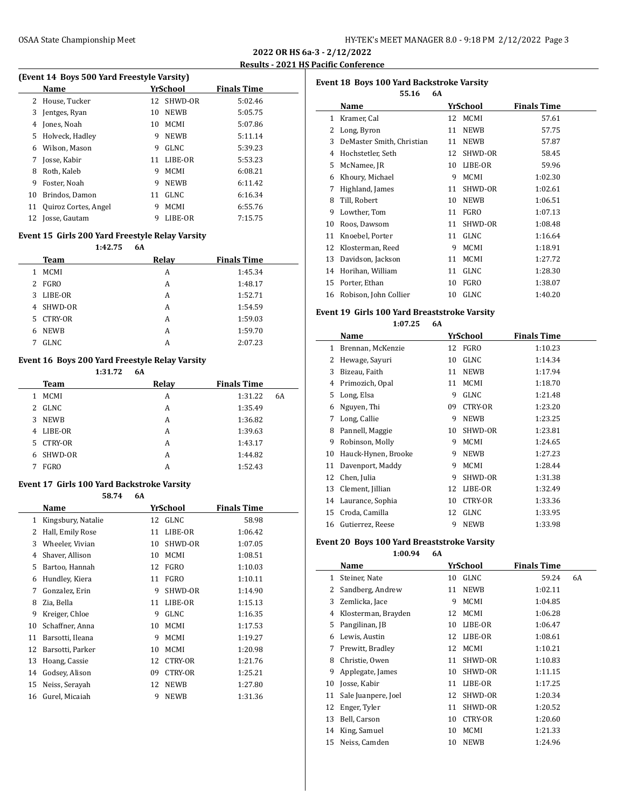#### **2022 OR HS 6a-3 - 2/12/2022 Results - 2021 HS Pacific Conference**

# **(Event 14 Boys 500 Yard Freestyle Varsity) Name Yr School Finals Time** House, Tucker 12 SHWD-OR 5:02.46 Jentges, Ryan 10 NEWB 5:05.75 Jones, Noah 10 MCMI 5:07.86 Holveck, Hadley 9 NEWB 5:11.14

|    | 6 Wilson, Mason         | 9  | GLNC        | 5:39.23 |
|----|-------------------------|----|-------------|---------|
| 7  | Josse, Kabir            | 11 | LIBE-OR     | 5:53.23 |
| 8  | Roth, Kaleb             | 9  | MCMI        | 6:08.21 |
| 9  | Foster. Noah            | q  | <b>NEWB</b> | 6:11.42 |
|    | 10 Brindos, Damon       | 11 | GLNC        | 6:16.34 |
|    | 11 Quiroz Cortes, Angel | 9  | <b>MCMI</b> | 6:55.76 |
| 12 | Josse, Gautam           |    | LIBE-OR     | 7:15.75 |

#### **Event 15 Girls 200 Yard Freestyle Relay Varsity**

#### **1:42.75 6A**

| Team             | Relay | <b>Finals Time</b> |
|------------------|-------|--------------------|
| <b>MCMI</b><br>1 | A     | 1:45.34            |
| FGRO<br>2        | А     | 1:48.17            |
| LIBE-OR<br>3     | А     | 1:52.71            |
| SHWD-OR<br>4     | A     | 1:54.59            |
| CTRY-OR<br>5     | A     | 1:59.03            |
| <b>NEWB</b><br>6 | A     | 1:59.70            |
| <b>GLNC</b>      | А     | 2:07.23            |
|                  |       |                    |

### **Event 16 Boys 200 Yard Freestyle Relay Varsity**

|    |                | 1:31.72 | 6A    |                    |    |
|----|----------------|---------|-------|--------------------|----|
|    | Team           |         | Relay | <b>Finals Time</b> |    |
| 1  | <b>MCMI</b>    |         | A     | 1:31.22            | 6A |
| 2  | GLNC           |         | A     | 1:35.49            |    |
| 3  | <b>NEWB</b>    |         | A     | 1:36.82            |    |
| 4  | LIBE-OR        |         | A     | 1:39.63            |    |
| 5. | <b>CTRY-OR</b> |         | A     | 1:43.17            |    |
| 6  | SHWD-OR        |         | A     | 1:44.82            |    |
|    | <b>FGRO</b>    |         | А     | 1:52.43            |    |
|    |                |         |       |                    |    |

#### **Event 17 Girls 100 Yard Backstroke Varsity**

**58.74 6A Name Yr School Finals Time** Kingsbury, Natalie 12 GLNC 58.98 2 Hall, Emily Rose 11 LIBE-OR 1:06.42 Wheeler, Vivian 10 SHWD-OR 1:07.05 Shaver, Allison 10 MCMI 1:08.51 Bartoo, Hannah 12 FGRO 1:10.03 Hundley, Kiera 11 FGRO 1:10.11 7 Gonzalez, Erin 9 SHWD-OR 1:14.90 Zia, Bella 11 LIBE-OR 1:15.13 Kreiger, Chloe 9 GLNC 1:16.35 Schaffner, Anna 10 MCMI 1:17.53 Barsotti, Ileana 9 MCMI 1:19.27 Barsotti, Parker 10 MCMI 1:20.98 Hoang, Cassie 12 CTRY-OR 1:21.76 Godsey, Alison 09 CTRY-OR 1:25.21 Neiss, Serayah 12 NEWB 1:27.80 Gurel, Micaiah 9 NEWB 1:31.36

# **Event 18 Boys 100 Yard Backstroke Varsity 55.16 6A Name** *YrSchool* **<b>Finals Time** 1 Kramer, Cal 12 MCMI 57.61 Long, Byron 11 NEWB 57.75 DeMaster Smith, Christian 11 NEWB 57.87 Hochstetler, Seth 12 SHWD-OR 58.45 McNamee, JR 10 LIBE-OR 59.96 Khoury, Michael 9 MCMI 1:02.30 Highland, James 11 SHWD-OR 1:02.61 Till, Robert 10 NEWB 1:06.51 Lowther, Tom 11 FGRO 1:07.13 Roos, Dawsom 11 SHWD-OR 1:08.48 11 Knoebel, Porter 11 GLNC 1:16.64 12 Klosterman, Reed 9 MCMI 1:18.91 Davidson, Jackson 11 MCMI 1:27.72 Horihan, William 11 GLNC 1:28.30 Porter, Ethan 10 FGRO 1:38.07 16 Robison, John Collier 10 GLNC 1:40.20

#### **Event 19 Girls 100 Yard Breaststroke Varsity**

**1:07.25 6A**

|    | Name                |    | YrSchool       | <b>Finals Time</b> |
|----|---------------------|----|----------------|--------------------|
| 1  | Brennan, McKenzie   | 12 | FGRO           | 1:10.23            |
| 2  | Hewage, Sayuri      | 10 | <b>GLNC</b>    | 1:14.34            |
| 3  | Bizeau, Faith       | 11 | <b>NEWB</b>    | 1:17.94            |
| 4  | Primozich, Opal     | 11 | <b>MCMI</b>    | 1:18.70            |
| 5  | Long, Elsa          | 9  | <b>GLNC</b>    | 1:21.48            |
| 6  | Nguyen, Thi         | 09 | <b>CTRY-OR</b> | 1:23.20            |
| 7  | Long, Callie        | 9  | <b>NEWB</b>    | 1:23.25            |
| 8  | Pannell, Maggie     | 10 | SHWD-OR        | 1:23.81            |
| 9  | Robinson, Molly     | 9  | <b>MCMI</b>    | 1:24.65            |
| 10 | Hauck-Hynen, Brooke | 9  | <b>NEWB</b>    | 1:27.23            |
| 11 | Davenport, Maddy    | 9  | <b>MCMI</b>    | 1:28.44            |
| 12 | Chen, Julia         | 9  | SHWD-OR        | 1:31.38            |
| 13 | Clement, Jillian    | 12 | LIBE-OR        | 1:32.49            |
| 14 | Laurance, Sophia    | 10 | <b>CTRY-OR</b> | 1:33.36            |
| 15 | Croda, Camilla      | 12 | <b>GLNC</b>    | 1:33.95            |
| 16 | Gutierrez, Reese    | 9  | <b>NEWB</b>    | 1:33.98            |

#### **Event 20 Boys 100 Yard Breaststroke Varsity**

|    | 1:00.94             | 6A |    |                |                    |    |
|----|---------------------|----|----|----------------|--------------------|----|
|    | Name                |    |    | YrSchool       | <b>Finals Time</b> |    |
| 1  | Steiner, Nate       |    | 10 | <b>GLNC</b>    | 59.24              | 6A |
| 2  | Sandberg, Andrew    |    | 11 | <b>NEWB</b>    | 1:02.11            |    |
| 3  | Zemlicka, Jace      |    | 9  | <b>MCMI</b>    | 1:04.85            |    |
| 4  | Klosterman, Brayden |    | 12 | <b>MCMI</b>    | 1:06.28            |    |
| 5  | Pangilinan, JB      |    | 10 | LIBE-OR        | 1:06.47            |    |
| 6  | Lewis, Austin       |    | 12 | LIBE-OR        | 1:08.61            |    |
| 7  | Prewitt, Bradley    |    | 12 | <b>MCMI</b>    | 1:10.21            |    |
| 8  | Christie, Owen      |    | 11 | SHWD-OR        | 1:10.83            |    |
| 9  | Applegate, James    |    | 10 | SHWD-OR        | 1:11.15            |    |
| 10 | Josse, Kabir        |    | 11 | LIBE-OR        | 1:17.25            |    |
| 11 | Sale Juanpere, Joel |    | 12 | SHWD-OR        | 1:20.34            |    |
| 12 | Enger, Tyler        |    | 11 | SHWD-OR        | 1:20.52            |    |
| 13 | Bell, Carson        |    | 10 | <b>CTRY-OR</b> | 1:20.60            |    |
| 14 | King, Samuel        |    | 10 | <b>MCMI</b>    | 1:21.33            |    |
| 15 | Neiss, Camden       |    | 10 | <b>NEWB</b>    | 1:24.96            |    |